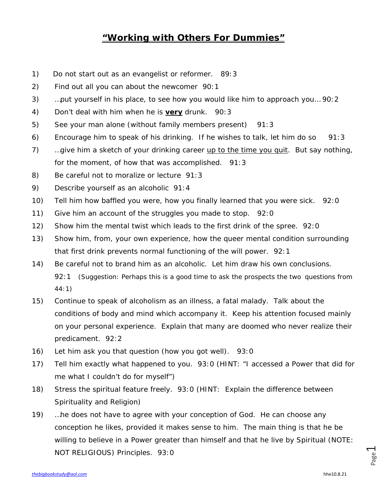## **"Working with Others For Dummies"**

- 1) Do not start out as an evangelist or reformer. 89:3
- 2) Find out all you can about the newcomer 90:1
- 3) …put yourself in his place, to see how you would like him to approach you… 90:2
- 4) Don't deal with him when he is *very* drunk. 90:3
- 5) See your man alone (without family members present) 91:3
- 6) Encourage him to speak of his drinking. If he wishes to talk, let him do so 91:3
- 7) …give him a sketch of your drinking career up to the time you quit. But say nothing, for the moment, of how that was accomplished. 91:3
- 8) Be careful not to moralize or lecture 91:3
- 9) Describe yourself as an alcoholic 91:4
- 10) Tell him how baffled you were, how you finally learned that you were sick. 92:0
- 11) Give him an account of the struggles you made to stop. 92:0
- 12) Show him the mental twist which leads to the first drink of the spree. 92:0
- 13) Show him, from, your own experience, how the queer mental condition surrounding that first drink prevents normal functioning of the will power. 92:1
- 14) Be careful not to brand him as an alcoholic. Let him draw his own conclusions. 92:1 *(Suggestion: Perhaps this is a good time to ask the prospects the two questions from 44:1)*
- 15) Continue to speak of alcoholism as an illness, a fatal malady. Talk about the conditions of body and mind which accompany it. Keep his attention focused mainly on your personal experience. Explain that many are doomed who never realize their predicament. 92:2
- 16) Let him ask you that question (how you got well). 93:0
- 17) Tell him exactly what happened to you. 93:0 (HINT*: "I accessed a Power that did for me what I couldn't do for myself"*)
- 18) Stress the spiritual feature freely. 93:0 (HINT: *Explain the difference between Spirituality and Religion)*
- 19) …he does not have to agree with your conception of God. He can choose any conception he likes, provided it makes sense to him. The main thing is that he be willing to believe in a Power greater than himself and that he live by Spiritual (NOTE: NOT RELIGIOUS) Principles. 93:0

Page  $\overline{\phantom{0}}$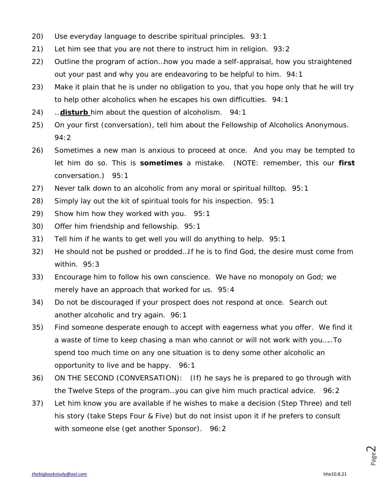- 20) Use everyday language to describe spiritual principles. 93:1
- 21) Let him see that you are not there to instruct him in religion. 93:2
- 22) Outline the program of action…how you made a self-appraisal, how you straightened out your past and why you are endeavoring to be helpful to him. 94:1
- 23) Make it plain that he is under no obligation to you, that you hope only that he will try to help other alcoholics when he escapes his own difficulties. 94:1
- 24) …*disturb* him about the question of alcoholism. 94:1
- 25) On your first (conversation), tell him about the Fellowship of Alcoholics Anonymous. 94:2
- 26) Sometimes a new man is anxious to proceed at once. And you may be tempted to let him do so. This is *sometimes* a mistake. (NOTE: remember, this our *first* conversation.) 95:1
- 27) Never talk down to an alcoholic from any moral or spiritual hilltop. 95:1
- 28) Simply lay out the kit of spiritual tools for his inspection. 95:1
- 29) Show him how they worked with you. 95:1
- 30) Offer him friendship and fellowship. 95:1
- 31) Tell him if he wants to get well you will do anything to help. 95:1
- 32) He should not be pushed or prodded…If he is to find God, the desire must come from within. 95:3
- 33) Encourage him to follow his own conscience. We have no monopoly on God; we merely have an approach that worked for us. 95:4
- 34) Do not be discouraged if your prospect does not respond at once. Search out another alcoholic and try again. 96:1
- 35) Find someone desperate enough to accept with eagerness what you offer. We find it a waste of time to keep chasing a man who cannot or will not work with you…..To spend too much time on any one situation is to deny some other alcoholic an opportunity to live and be happy. 96:1
- 36) ON THE SECOND (CONVERSATION): (If) he says he is prepared to go through with the Twelve Steps of the program…you can give him much practical advice. 96:2
- 37) Let him know you are available if he wishes to make a decision (*Step Three*) and tell his story *(take Steps Four & Five)* but do not insist upon it if he prefers to consult with someone else *(get another Sponsor).* 96:2

Page  $\mathrel{\sim}$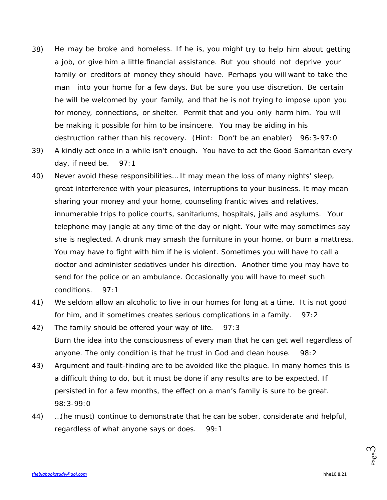- 38) He may be broke and homeless. If he is, you might try to help him about getting a job, or give him a little financial assistance. But you should not deprive your family or creditors of money they should have. Perhaps you will want to take the man into your home for a few days. But be sure you use discretion. Be certain he will be welcomed by your family, and that he is not trying to impose upon you for money, connections, or shelter. Permit that and you only harm him. You will be making it possible for him to be insincere. You may be aiding in his destruction rather than his recovery. *(Hint: Don't be an enabler)* 96:3-97:0
- 39) A kindly act once in a while isn't enough. *You have to act the Good Samaritan every*  day, if need be. 97:1
- 40) Never avoid these responsibilities… It may mean the loss of many nights' sleep, great interference with your pleasures, interruptions to your business. It may mean sharing your money and your home, counseling frantic wives and relatives, innumerable trips to police courts, sanitariums, hospitals, jails and asylums. Your telephone may jangle at any time of the day or night. Your wife may sometimes say she is neglected. A drunk may smash the furniture in your home, or burn a mattress. You may have to fight with him if he is violent. Sometimes you will have to call a doctor and administer sedatives under his direction. Another time you may have to send for the police or an ambulance. Occasionally you will have to meet such conditions. 97:1
- 41) We seldom allow an alcoholic to live in our homes for long at a time. It is not good for him, and it sometimes creates serious complications in a family. 97:2
- 42) The family should be offered your way of life. 97:3 Burn the idea into the consciousness of every man that he can get well regardless of anyone. The only condition is that he trust in God and clean house. 98:2
- 43) Argument and fault-finding are to be avoided like the plague. In many homes this is a difficult thing to do, but it must be done if any results are to be expected. If persisted in for a few months, the effect on a man's family is sure to be great. 98:3-99:0
- 44) …(he must) continue to demonstrate that he can be sober, considerate and helpful, regardless of what anyone says or does. 99:1